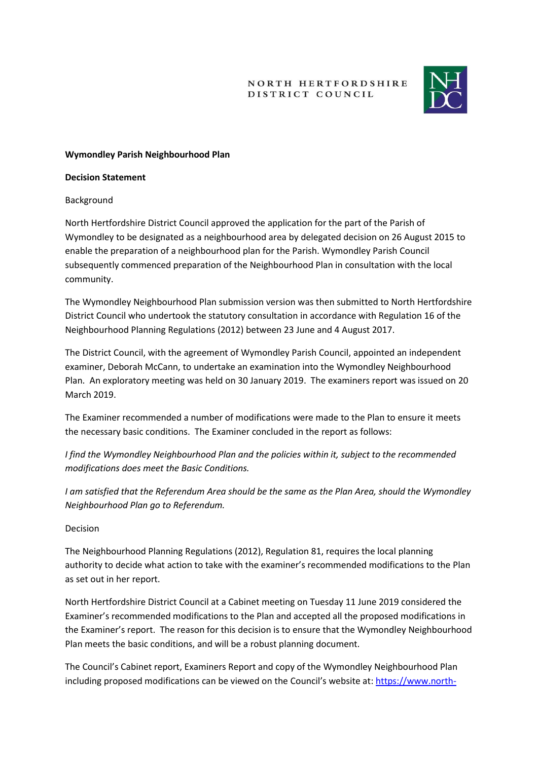NORTH HERTFORDSHIRE DISTRICT COUNCIL



## **Wymondley Parish Neighbourhood Plan**

#### **Decision Statement**

### Background

North Hertfordshire District Council approved the application for the part of the Parish of Wymondley to be designated as a neighbourhood area by delegated decision on 26 August 2015 to enable the preparation of a neighbourhood plan for the Parish. Wymondley Parish Council subsequently commenced preparation of the Neighbourhood Plan in consultation with the local community.

The Wymondley Neighbourhood Plan submission version was then submitted to North Hertfordshire District Council who undertook the statutory consultation in accordance with Regulation 16 of the Neighbourhood Planning Regulations (2012) between 23 June and 4 August 2017.

The District Council, with the agreement of Wymondley Parish Council, appointed an independent examiner, Deborah McCann, to undertake an examination into the Wymondley Neighbourhood Plan. An exploratory meeting was held on 30 January 2019. The examiners report was issued on 20 March 2019.

The Examiner recommended a number of modifications were made to the Plan to ensure it meets the necessary basic conditions. The Examiner concluded in the report as follows:

*I find the Wymondley Neighbourhood Plan and the policies within it, subject to the recommended modifications does meet the Basic Conditions.*

*I am satisfied that the Referendum Area should be the same as the Plan Area, should the Wymondley Neighbourhood Plan go to Referendum.*

### Decision

The Neighbourhood Planning Regulations (2012), Regulation 81, requires the local planning authority to decide what action to take with the examiner's recommended modifications to the Plan as set out in her report.

North Hertfordshire District Council at a Cabinet meeting on Tuesday 11 June 2019 considered the Examiner's recommended modifications to the Plan and accepted all the proposed modifications in the Examiner's report. The reason for this decision is to ensure that the Wymondley Neighbourhood Plan meets the basic conditions, and will be a robust planning document.

The Council's Cabinet report, Examiners Report and copy of the Wymondley Neighbourhood Plan including proposed modifications can be viewed on the Council's website at: [https://www.north-](https://www.north-herts.gov.uk/home/planning/planning-policy/neighbourhood-planning/approved-neighbourhood-areas-wymondley)